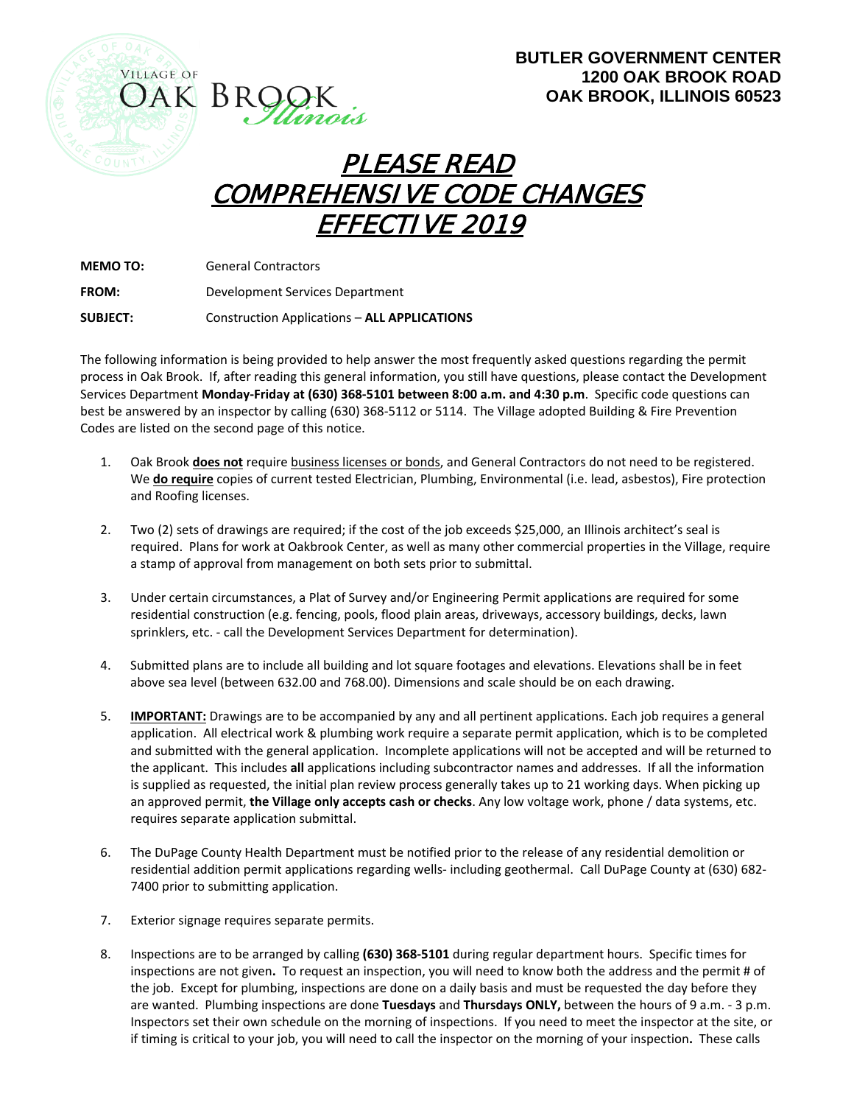



## PLEASE READ COMPREHENSIVE CODE CHANGES EFFECTIVE 2019

**MEMO TO:** General Contractors

**FROM:** Development Services Department

**SUBJECT:** Construction Applications – **ALL APPLICATIONS**

The following information is being provided to help answer the most frequently asked questions regarding the permit process in Oak Brook. If, after reading this general information, you still have questions, please contact the Development Services Department **Monday-Friday at (630) 368-5101 between 8:00 a.m. and 4:30 p.m**. Specific code questions can best be answered by an inspector by calling (630) 368-5112 or 5114. The Village adopted Building & Fire Prevention Codes are listed on the second page of this notice.

- 1. Oak Brook **does not** require business licenses or bonds, and General Contractors do not need to be registered. We **do require** copies of current tested Electrician, Plumbing, Environmental (i.e. lead, asbestos), Fire protection and Roofing licenses.
- 2. Two (2) sets of drawings are required; if the cost of the job exceeds \$25,000, an Illinois architect's seal is required. Plans for work at Oakbrook Center, as well as many other commercial properties in the Village, require a stamp of approval from management on both sets prior to submittal.
- 3. Under certain circumstances, a Plat of Survey and/or Engineering Permit applications are required for some residential construction (e.g. fencing, pools, flood plain areas, driveways, accessory buildings, decks, lawn sprinklers, etc. - call the Development Services Department for determination).
- 4. Submitted plans are to include all building and lot square footages and elevations. Elevations shall be in feet above sea level (between 632.00 and 768.00). Dimensions and scale should be on each drawing.
- 5. **IMPORTANT:** Drawings are to be accompanied by any and all pertinent applications. Each job requires a general application. All electrical work & plumbing work require a separate permit application, which is to be completed and submitted with the general application. Incomplete applications will not be accepted and will be returned to the applicant. This includes **all** applications including subcontractor names and addresses. If all the information is supplied as requested, the initial plan review process generally takes up to 21 working days. When picking up an approved permit, **the Village only accepts cash or checks**. Any low voltage work, phone / data systems, etc. requires separate application submittal.
- 6. The DuPage County Health Department must be notified prior to the release of any residential demolition or residential addition permit applications regarding wells- including geothermal. Call DuPage County at (630) 682- 7400 prior to submitting application.
- 7. Exterior signage requires separate permits.
- 8. Inspections are to be arranged by calling **(630) 368-5101** during regular department hours. Specific times for inspections are not given**.** To request an inspection, you will need to know both the address and the permit # of the job. Except for plumbing, inspections are done on a daily basis and must be requested the day before they are wanted. Plumbing inspections are done **Tuesdays** and **Thursdays ONLY,** between the hours of 9 a.m. - 3 p.m. Inspectors set their own schedule on the morning of inspections. If you need to meet the inspector at the site, or if timing is critical to your job, you will need to call the inspector on the morning of your inspection**.** These calls